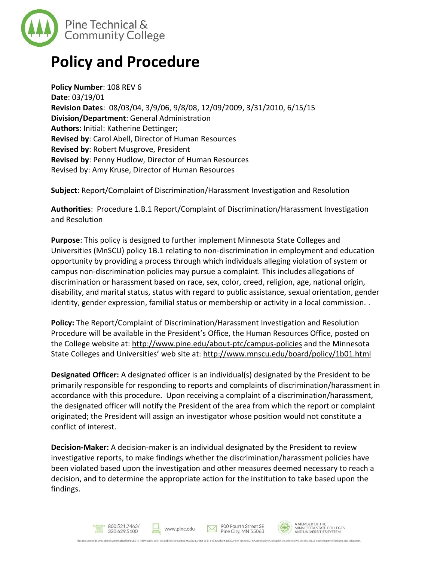

## **Policy and Procedure**

**Policy Number**: 108 REV 6 **Date**: 03/19/01 **Revision Dates**: 08/03/04, 3/9/06, 9/8/08, 12/09/2009, 3/31/2010, 6/15/15 **Division/Department**: General Administration **Authors**: Initial: Katherine Dettinger; **Revised by**: Carol Abell, Director of Human Resources **Revised by**: Robert Musgrove, President **Revised by**: Penny Hudlow, Director of Human Resources Revised by: Amy Kruse, Director of Human Resources

**Subject**: Report/Complaint of Discrimination/Harassment Investigation and Resolution

**Authorities**: Procedure 1.B.1 Report/Complaint of Discrimination/Harassment Investigation and Resolution

**Purpose**: This policy is designed to further implement Minnesota State Colleges and Universities (MnSCU) policy 1B.1 relating to non-discrimination in employment and education opportunity by providing a process through which individuals alleging violation of system or campus non-discrimination policies may pursue a complaint. This includes allegations of discrimination or harassment based on race, sex, color, creed, religion, age, national origin, disability, and marital status, status with regard to public assistance, sexual orientation, gender identity, gender expression, familial status or membership or activity in a local commission. .

**Policy:** The Report/Complaint of Discrimination/Harassment Investigation and Resolution Procedure will be available in the President's Office, the Human Resources Office, posted on the College website at:<http://www.pine.edu/about-ptc/campus-policies> and the Minnesota State Colleges and Universities' web site at: <http://www.mnscu.edu/board/policy/1b01.html>

**Designated Officer:** A designated officer is an individual(s) designated by the President to be primarily responsible for responding to reports and complaints of discrimination/harassment in accordance with this procedure. Upon receiving a complaint of a discrimination/harassment, the designated officer will notify the President of the area from which the report or complaint originated; the President will assign an investigator whose position would not constitute a conflict of interest.

**Decision-Maker:** A decision-maker is an individual designated by the President to review investigative reports, to make findings whether the discrimination/harassment policies have been violated based upon the investigation and other measures deemed necessary to reach a decision, and to determine the appropriate action for the institution to take based upon the findings.



A MEMBER OF THE<br>MINNESOTA STATE COLLEGES<br>AND UNIVERSITIES SYSTEM